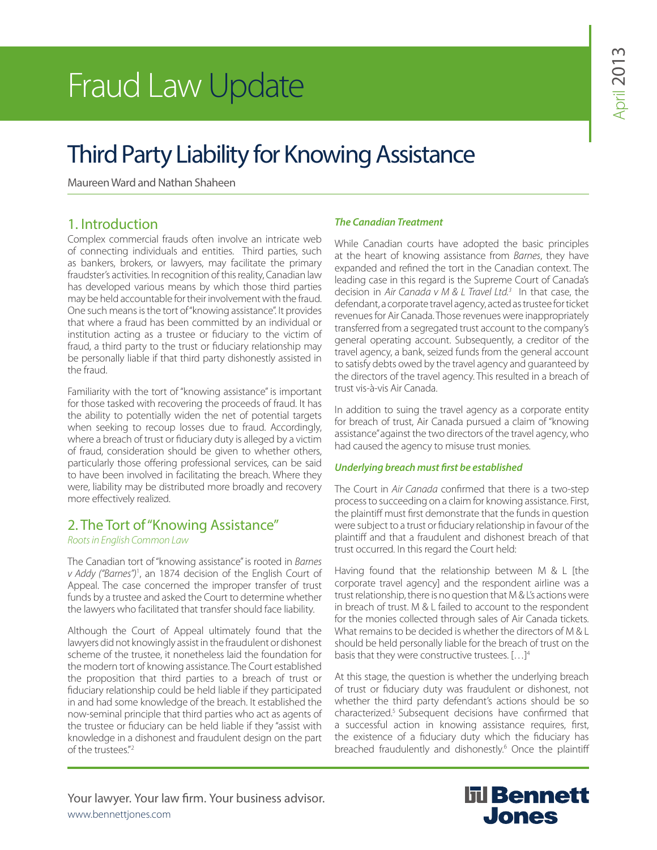# Fraud Law Update

## Third Party Liability for Knowing Assistance

Maureen Ward and Nathan Shaheen

#### 1. Introduction

Complex commercial frauds often involve an intricate web of connecting individuals and entities. Third parties, such as bankers, brokers, or lawyers, may facilitate the primary fraudster's activities. In recognition of this reality, Canadian law has developed various means by which those third parties may be held accountable for their involvement with the fraud. One such means is the tort of "knowing assistance". It provides that where a fraud has been committed by an individual or institution acting as a trustee or fiduciary to the victim of fraud, a third party to the trust or fiduciary relationship may be personally liable if that third party dishonestly assisted in the fraud.

Familiarity with the tort of "knowing assistance" is important for those tasked with recovering the proceeds of fraud. It has the ability to potentially widen the net of potential targets when seeking to recoup losses due to fraud. Accordingly, where a breach of trust or fiduciary duty is alleged by a victim of fraud, consideration should be given to whether others, particularly those offering professional services, can be said to have been involved in facilitating the breach. Where they were, liability may be distributed more broadly and recovery more effectively realized.

#### 2. The Tort of "Knowing Assistance"

#### *Roots in English Common Law*

The Canadian tort of "knowing assistance" is rooted in *Barnes v Addy ("Barnes")*<sup>1</sup> , an 1874 decision of the English Court of Appeal. The case concerned the improper transfer of trust funds by a trustee and asked the Court to determine whether the lawyers who facilitated that transfer should face liability.

Although the Court of Appeal ultimately found that the lawyers did not knowingly assist in the fraudulent or dishonest scheme of the trustee, it nonetheless laid the foundation for the modern tort of knowing assistance. The Court established the proposition that third parties to a breach of trust or fiduciary relationship could be held liable if they participated in and had some knowledge of the breach. It established the now-seminal principle that third parties who act as agents of the trustee or fiduciary can be held liable if they "assist with knowledge in a dishonest and fraudulent design on the part of the trustees."<sup>2</sup>

#### *The Canadian Treatment*

While Canadian courts have adopted the basic principles at the heart of knowing assistance from *Barnes*, they have expanded and refined the tort in the Canadian context. The leading case in this regard is the Supreme Court of Canada's decision in *Air Canada v M & L Travel Ltd.3* In that case, the defendant, a corporate travel agency, acted as trustee for ticket revenues for Air Canada. Those revenues were inappropriately transferred from a segregated trust account to the company's general operating account. Subsequently, a creditor of the travel agency, a bank, seized funds from the general account to satisfy debts owed by the travel agency and guaranteed by the directors of the travel agency. This resulted in a breach of trust vis-à-vis Air Canada.

In addition to suing the travel agency as a corporate entity for breach of trust, Air Canada pursued a claim of "knowing assistance" against the two directors of the travel agency, who had caused the agency to misuse trust monies.

#### *Underlying breach must first be established*

The Court in *Air Canada* confirmed that there is a two-step process to succeeding on a claim for knowing assistance. First, the plaintiff must first demonstrate that the funds in question were subject to a trust or fiduciary relationship in favour of the plaintiff and that a fraudulent and dishonest breach of that trust occurred. In this regard the Court held:

Having found that the relationship between M & L [the corporate travel agency] and the respondent airline was a trust relationship, there is no question that M & L's actions were in breach of trust. M & L failed to account to the respondent for the monies collected through sales of Air Canada tickets. What remains to be decided is whether the directors of M & L should be held personally liable for the breach of trust on the basis that they were constructive trustees. […]4

At this stage, the question is whether the underlying breach of trust or fiduciary duty was fraudulent or dishonest, not whether the third party defendant's actions should be so characterized.5 Subsequent decisions have confirmed that a successful action in knowing assistance requires, first, the existence of a fiduciary duty which the fiduciary has breached fraudulently and dishonestly.<sup>6</sup> Once the plaintiff